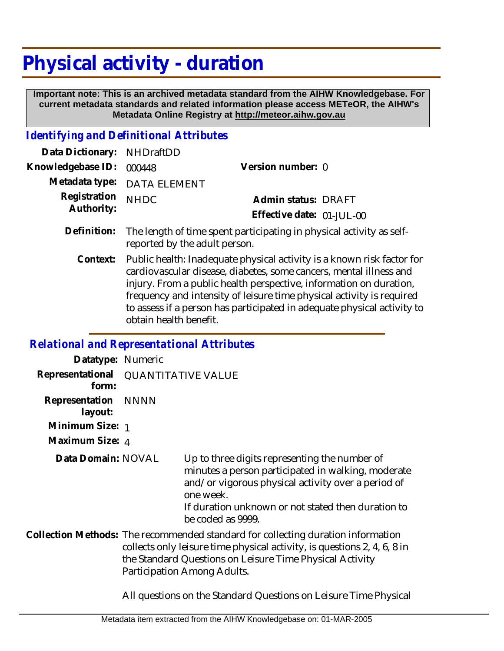## **Physical activity - duration**

 **Important note: This is an archived metadata standard from the AIHW Knowledgebase. For current metadata standards and related information please access METeOR, the AIHW's Metadata Online Registry at http://meteor.aihw.gov.au**

## *Identifying and Definitional Attributes*

| Data Dictionary: NHDraftDD      |                             |                           |
|---------------------------------|-----------------------------|---------------------------|
| Knowledgebase ID: 000448        |                             | Version number: 0         |
|                                 | Metadata type: DATA ELEMENT |                           |
| Registration NHDC<br>Authority: |                             | Admin status: DRAFT       |
|                                 |                             | Effective date: 01-JUL-00 |
|                                 |                             |                           |

- The length of time spent participating in physical activity as selfreported by the adult person. **Definition:**
	- Public health: Inadequate physical activity is a known risk factor for cardiovascular disease, diabetes, some cancers, mental illness and injury. From a public health perspective, information on duration, frequency and intensity of leisure time physical activity is required to assess if a person has participated in adequate physical activity to obtain health benefit. **Context:**

## *Relational and Representational Attributes*

| Datatype: Numeric                            |      |                                                                                                                                                                                                                                                         |
|----------------------------------------------|------|---------------------------------------------------------------------------------------------------------------------------------------------------------------------------------------------------------------------------------------------------------|
| Representational QUANTITATIVE VALUE<br>form: |      |                                                                                                                                                                                                                                                         |
| Representation<br>layout:                    | NNNN |                                                                                                                                                                                                                                                         |
| Minimum Size: 1                              |      |                                                                                                                                                                                                                                                         |
| Maximum Size: 4                              |      |                                                                                                                                                                                                                                                         |
| Data Domain: NOVAL                           |      | Up to three digits representing the number of<br>minutes a person participated in walking, moderate<br>and/or vigorous physical activity over a period of<br>one week.<br>If duration unknown or not stated then duration to<br>be coded as 9999.       |
|                                              |      | Collection Methods: The recommended standard for collecting duration information<br>collects only leisure time physical activity, is questions 2, 4, 6, 8 in<br>the Standard Questions on Leisure Time Physical Activity<br>Participation Among Adults. |

All questions on the Standard Questions on Leisure Time Physical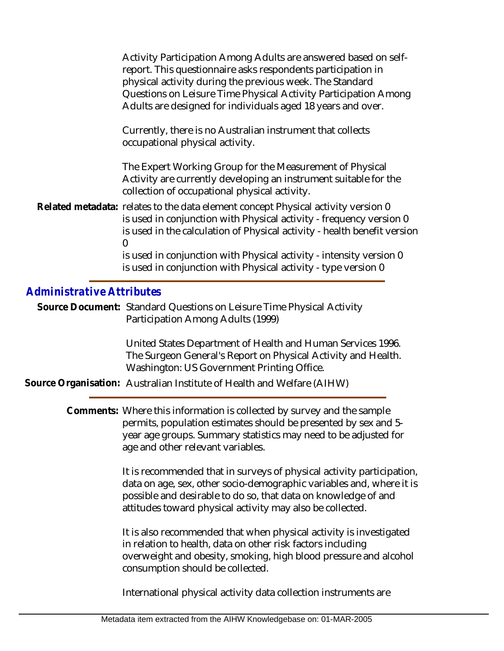|                                  | Activity Participation Among Adults are answered based on self-<br>report. This questionnaire asks respondents participation in<br>physical activity during the previous week. The Standard<br>Questions on Leisure Time Physical Activity Participation Among<br>Adults are designed for individuals aged 18 years and over. |  |
|----------------------------------|-------------------------------------------------------------------------------------------------------------------------------------------------------------------------------------------------------------------------------------------------------------------------------------------------------------------------------|--|
|                                  | Currently, there is no Australian instrument that collects<br>occupational physical activity.                                                                                                                                                                                                                                 |  |
|                                  | The Expert Working Group for the Measurement of Physical<br>Activity are currently developing an instrument suitable for the<br>collection of occupational physical activity.                                                                                                                                                 |  |
|                                  | Related metadata: relates to the data element concept Physical activity version 0<br>is used in conjunction with Physical activity - frequency version 0<br>is used in the calculation of Physical activity - health benefit version<br>0                                                                                     |  |
|                                  | is used in conjunction with Physical activity - intensity version 0<br>is used in conjunction with Physical activity - type version 0                                                                                                                                                                                         |  |
| <b>Administrative Attributes</b> |                                                                                                                                                                                                                                                                                                                               |  |
|                                  | Source Document: Standard Questions on Leisure Time Physical Activity<br>Participation Among Adults (1999)                                                                                                                                                                                                                    |  |
|                                  | United States Department of Health and Human Services 1996.<br>The Surgeon General's Report on Physical Activity and Health.<br>Washington: US Government Printing Office.<br>Source Organisation: Australian Institute of Health and Welfare (AIHW)                                                                          |  |
|                                  |                                                                                                                                                                                                                                                                                                                               |  |
|                                  | Comments: Where this information is collected by survey and the sample<br>permits, population estimates should be presented by sex and 5-<br>year age groups. Summary statistics may need to be adjusted for<br>age and other relevant variables.                                                                             |  |
|                                  | It is recommended that in surveys of physical activity participation,<br>data on age, sex, other socio-demographic variables and, where it is<br>possible and desirable to do so, that data on knowledge of and<br>attitudes toward physical activity may also be collected.                                                  |  |
|                                  | It is also recommended that when physical activity is investigated<br>in relation to health, data on other risk factors including<br>overweight and obesity, smoking, high blood pressure and alcohol<br>consumption should be collected.                                                                                     |  |
|                                  | International physical activity data collection instruments are                                                                                                                                                                                                                                                               |  |
|                                  |                                                                                                                                                                                                                                                                                                                               |  |